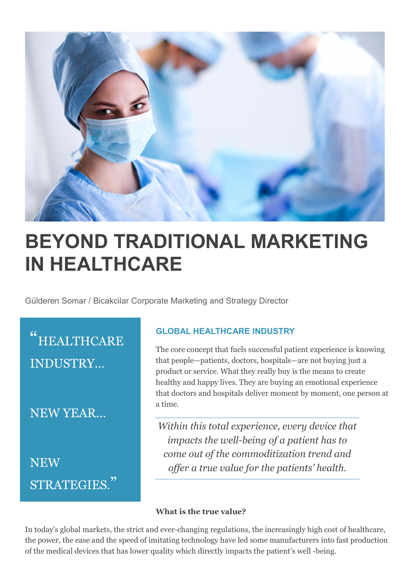

## **BEYOND TRADITIONAL MARKETING IN HEALTHCARE**

Gülderen Somar / Bicakcilar Corporate Marketing and Strategy Director

" HEALTHCARE INDUSTRY…

NEW YEAR…

**NEW** STRATEGIES."

## **GLOBAL HEALTHCARE INDUSTRY**

The core concept that fuels successful patient experience is knowing that people—patients, doctors, hospitals—are not buying just a product or service. What they really buy is the means to create healthy and happy lives. They are buying an emotional experience that doctors and hospitals deliver moment by moment, one person at a time.

*Within this total experience, every device that impacts the well-being of a patient has to come out of the commoditization trend and offer a true value for the patients' health.*

## **What is the true value?**

In today's global markets, the strict and ever-changing regulations, the increasingly high cost of healthcare, the power, the ease and the speed of imitating technology have led some manufacturers into fast production of the medical devices that has lower quality which directly impacts the patient's well -being.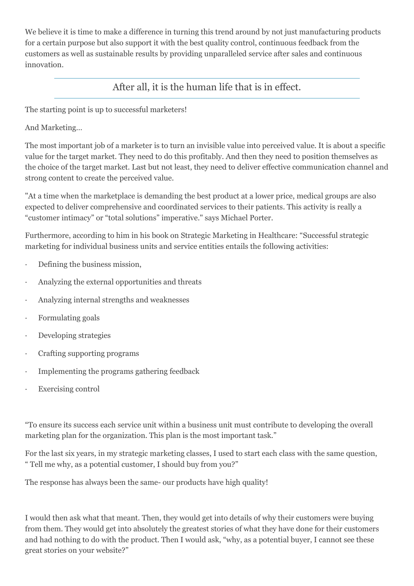We believe it is time to make a difference in turning this trend around by not just manufacturing products for a certain purpose but also support it with the best quality control, continuous feedback from the customers as well as sustainable results by providing unparalleled service after sales and continuous innovation.

After all, it is the human life that is in effect.

The starting point is up to successful marketers!

And Marketing…

The most important job of a marketer is to turn an invisible value into perceived value. It is about a specific value for the target market. They need to do this profitably. And then they need to position themselves as the choice of the target market. Last but not least, they need to deliver effective communication channel and strong content to create the perceived value.

"At a time when the marketplace is demanding the best product at a lower price, medical groups are also expected to deliver comprehensive and coordinated services to their patients. This activity is really a "customer intimacy" or "total solutions" imperative." says Michael Porter.

Furthermore, according to him in his book on Strategic Marketing in Healthcare: "Successful strategic marketing for individual business units and service entities entails the following activities:

- · Defining the business mission,
- · Analyzing the external opportunities and threats
- · Analyzing internal strengths and weaknesses
- · Formulating goals
- · Developing strategies
- · Crafting supporting programs
- · Implementing the programs gathering feedback
- Exercising control

"To ensure its success each service unit within a business unit must contribute to developing the overall marketing plan for the organization. This plan is the most important task."

For the last six years, in my strategic marketing classes, I used to start each class with the same question, " Tell me why, as a potential customer, I should buy from you?"

The response has always been the same- our products have high quality!

I would then ask what that meant. Then, they would get into details of why their customers were buying from them. They would get into absolutely the greatest stories of what they have done for their customers and had nothing to do with the product. Then I would ask, "why, as a potential buyer, I cannot see these great stories on your website?"